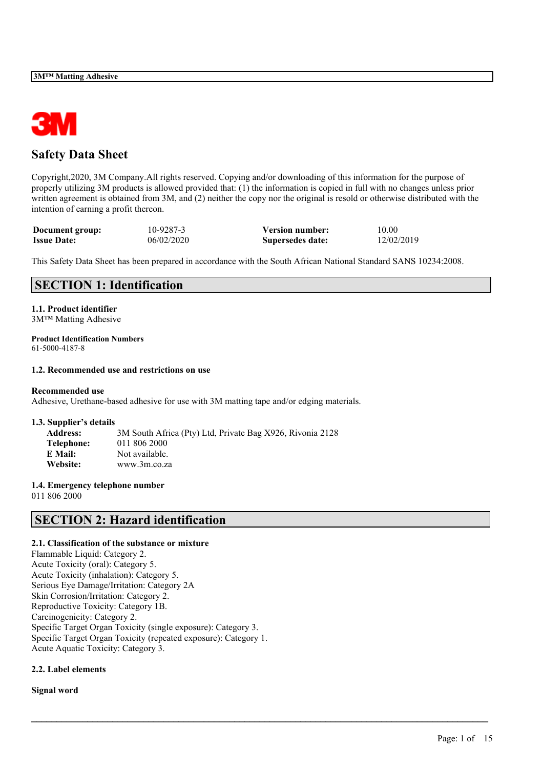

# **Safety Data Sheet**

Copyright,2020, 3M Company.All rights reserved. Copying and/or downloading of this information for the purpose of properly utilizing 3M products is allowed provided that: (1) the information is copied in full with no changes unless prior written agreement is obtained from 3M, and (2) neither the copy nor the original is resold or otherwise distributed with the intention of earning a profit thereon.

| Document group:    | 10-9287-3  | <b>Version number:</b> | 10.00      |
|--------------------|------------|------------------------|------------|
| <b>Issue Date:</b> | 06/02/2020 | Supersedes date:       | 12/02/2019 |

This Safety Data Sheet has been prepared in accordance with the South African National Standard SANS 10234:2008.

 $\mathcal{L}_\mathcal{L} = \mathcal{L}_\mathcal{L} = \mathcal{L}_\mathcal{L} = \mathcal{L}_\mathcal{L} = \mathcal{L}_\mathcal{L} = \mathcal{L}_\mathcal{L} = \mathcal{L}_\mathcal{L} = \mathcal{L}_\mathcal{L} = \mathcal{L}_\mathcal{L} = \mathcal{L}_\mathcal{L} = \mathcal{L}_\mathcal{L} = \mathcal{L}_\mathcal{L} = \mathcal{L}_\mathcal{L} = \mathcal{L}_\mathcal{L} = \mathcal{L}_\mathcal{L} = \mathcal{L}_\mathcal{L} = \mathcal{L}_\mathcal{L}$ 

# **SECTION 1: Identification**

# **1.1. Product identifier**

3M™ Matting Adhesive

#### **Product Identification Numbers** 61-5000-4187-8

# **1.2. Recommended use and restrictions on use**

#### **Recommended use**

Adhesive, Urethane-based adhesive for use with 3M matting tape and/or edging materials.

#### **1.3. Supplier's details**

| <b>Address:</b> | 3M South Africa (Pty) Ltd, Private Bag X926, Rivonia 2128 |
|-----------------|-----------------------------------------------------------|
| Telephone:      | 011 806 2000                                              |
| E Mail:         | Not available.                                            |
| Website:        | www.3m.co.za                                              |

## **1.4. Emergency telephone number**

011 806 2000

# **SECTION 2: Hazard identification**

## **2.1. Classification of the substance or mixture**

Flammable Liquid: Category 2. Acute Toxicity (oral): Category 5. Acute Toxicity (inhalation): Category 5. Serious Eye Damage/Irritation: Category 2A Skin Corrosion/Irritation: Category 2. Reproductive Toxicity: Category 1B. Carcinogenicity: Category 2. Specific Target Organ Toxicity (single exposure): Category 3. Specific Target Organ Toxicity (repeated exposure): Category 1. Acute Aquatic Toxicity: Category 3.

## **2.2. Label elements**

**Signal word**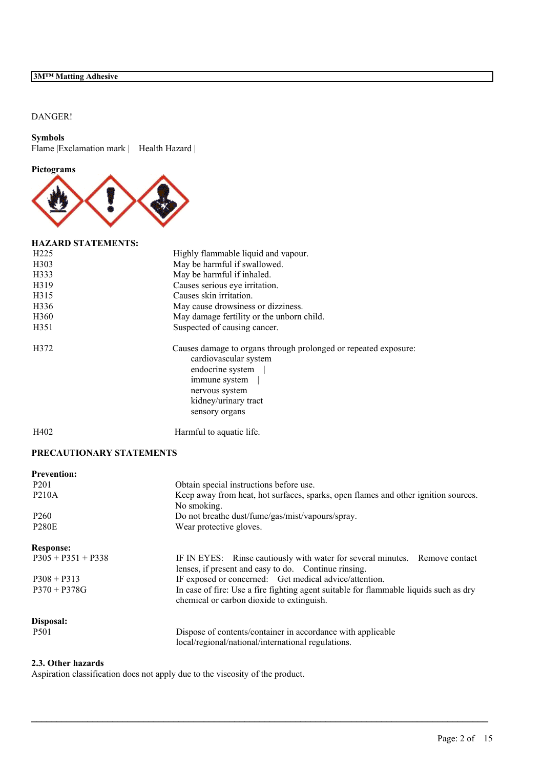# DANGER!

## **Symbols**

Flame | Exclamation mark | Health Hazard |

### **Pictograms**



## **HAZARD STATEMENTS:**

| H <sub>225</sub>  | Highly flammable liquid and vapour.                                                                                                                                                       |
|-------------------|-------------------------------------------------------------------------------------------------------------------------------------------------------------------------------------------|
| H <sub>3</sub> 03 | May be harmful if swallowed.                                                                                                                                                              |
| H333              | May be harmful if inhaled.                                                                                                                                                                |
| H319              | Causes serious eye irritation.                                                                                                                                                            |
| H315              | Causes skin irritation.                                                                                                                                                                   |
| H336              | May cause drowsiness or dizziness.                                                                                                                                                        |
| H <sub>360</sub>  | May damage fertility or the unborn child.                                                                                                                                                 |
| H351              | Suspected of causing cancer.                                                                                                                                                              |
| H372              | Causes damage to organs through prolonged or repeated exposure:<br>cardiovascular system<br>endocrine system<br>immune system<br>nervous system<br>kidney/urinary tract<br>sensory organs |
|                   |                                                                                                                                                                                           |

H402 Harmful to aquatic life.

# **PRECAUTIONARY STATEMENTS**

| <b>Prevention:</b>   |                                                                                                                                     |
|----------------------|-------------------------------------------------------------------------------------------------------------------------------------|
| P <sub>201</sub>     | Obtain special instructions before use.                                                                                             |
| <b>P210A</b>         | Keep away from heat, hot surfaces, sparks, open flames and other ignition sources.<br>No smoking.                                   |
| P <sub>260</sub>     | Do not breathe dust/fume/gas/mist/vapours/spray.                                                                                    |
| <b>P280E</b>         | Wear protective gloves.                                                                                                             |
| <b>Response:</b>     |                                                                                                                                     |
| $P305 + P351 + P338$ | IF IN EYES: Rinse cautiously with water for several minutes. Remove contact<br>lenses, if present and easy to do. Continue rinsing. |
| $P308 + P313$        | IF exposed or concerned: Get medical advice/attention.                                                                              |
| $P370 + P378G$       | In case of fire: Use a fire fighting agent suitable for flammable liquids such as dry<br>chemical or carbon dioxide to extinguish.  |
| Disposal:            |                                                                                                                                     |
| P <sub>501</sub>     | Dispose of contents/container in accordance with applicable<br>local/regional/national/international regulations.                   |

 $\mathcal{L}_\mathcal{L} = \mathcal{L}_\mathcal{L} = \mathcal{L}_\mathcal{L} = \mathcal{L}_\mathcal{L} = \mathcal{L}_\mathcal{L} = \mathcal{L}_\mathcal{L} = \mathcal{L}_\mathcal{L} = \mathcal{L}_\mathcal{L} = \mathcal{L}_\mathcal{L} = \mathcal{L}_\mathcal{L} = \mathcal{L}_\mathcal{L} = \mathcal{L}_\mathcal{L} = \mathcal{L}_\mathcal{L} = \mathcal{L}_\mathcal{L} = \mathcal{L}_\mathcal{L} = \mathcal{L}_\mathcal{L} = \mathcal{L}_\mathcal{L}$ 

# **2.3. Other hazards**

Aspiration classification does not apply due to the viscosity of the product.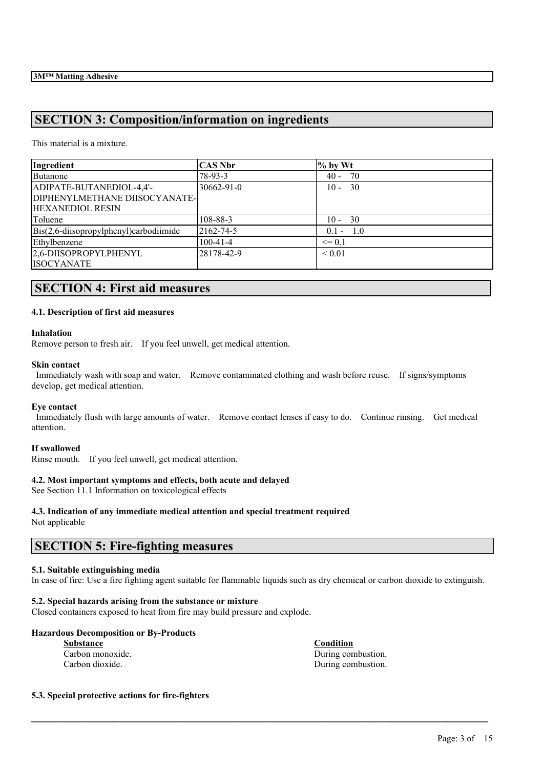# **SECTION 3: Composition/information on ingredients**

This material is a mixture.

| Ingredient                                | <b>CAS Nbr</b> | $%$ by Wt   |
|-------------------------------------------|----------------|-------------|
| Butanone                                  | 78-93-3        | $40 - 70$   |
| ADIPATE-BUTANEDIOL-4,4'-                  | 30662-91-0     | $10 - 30$   |
| DIPHENYLMETHANE DIISOCYANATE-             |                |             |
| <b>HEXANEDIOL RESIN</b>                   |                |             |
| Toluene                                   | 108-88-3       | $10 - 30$   |
| $Bis(2,6-diisopropylphenyl)$ carbodiimide | 2162-74-5      | $0.1 - 1.0$ |
| Ethylbenzene                              | $100 - 41 - 4$ | $\leq 0.1$  |
| 2,6-DIISOPROPYLPHENYL                     | 28178-42-9     | ${}_{0.01}$ |
| <b>ISOCYANATE</b>                         |                |             |

# **SECTION 4: First aid measures**

## **4.1. Description of first aid measures**

### **Inhalation**

Remove person to fresh air. If you feel unwell, get medical attention.

### **Skin contact**

Immediately wash with soap and water. Remove contaminated clothing and wash before reuse. If signs/symptoms develop, get medical attention.

#### **Eye contact**

Immediately flush with large amounts of water. Remove contact lenses if easy to do. Continue rinsing. Get medical attention.

## **If swallowed**

Rinse mouth. If you feel unwell, get medical attention.

## **4.2. Most important symptoms and effects, both acute and delayed**

See Section 11.1 Information on toxicological effects

# **4.3. Indication of any immediate medical attention and special treatment required**

Not applicable

# **SECTION 5: Fire-fighting measures**

# **5.1. Suitable extinguishing media**

In case of fire: Use a fire fighting agent suitable for flammable liquids such as dry chemical or carbon dioxide to extinguish.

 $\mathcal{L}_\mathcal{L} = \mathcal{L}_\mathcal{L} = \mathcal{L}_\mathcal{L} = \mathcal{L}_\mathcal{L} = \mathcal{L}_\mathcal{L} = \mathcal{L}_\mathcal{L} = \mathcal{L}_\mathcal{L} = \mathcal{L}_\mathcal{L} = \mathcal{L}_\mathcal{L} = \mathcal{L}_\mathcal{L} = \mathcal{L}_\mathcal{L} = \mathcal{L}_\mathcal{L} = \mathcal{L}_\mathcal{L} = \mathcal{L}_\mathcal{L} = \mathcal{L}_\mathcal{L} = \mathcal{L}_\mathcal{L} = \mathcal{L}_\mathcal{L}$ 

# **5.2. Special hazards arising from the substance or mixture**

Closed containers exposed to heat from fire may build pressure and explode.

# **Hazardous Decomposition or By-Products**

**Substance Condition**

Carbon monoxide. During combustion. Carbon dioxide. During combustion.

## **5.3. Special protective actions for fire-fighters**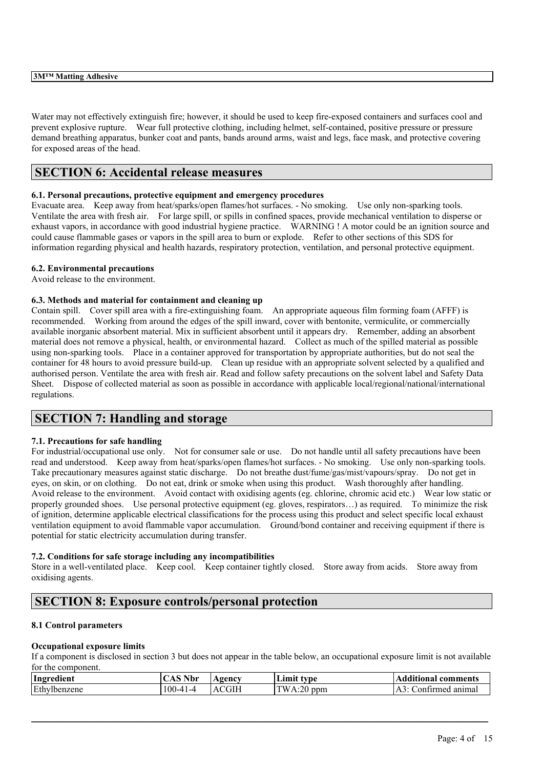Water may not effectively extinguish fire; however, it should be used to keep fire-exposed containers and surfaces cool and prevent explosive rupture. Wear full protective clothing, including helmet, self-contained, positive pressure or pressure demand breathing apparatus, bunker coat and pants, bands around arms, waist and legs, face mask, and protective covering for exposed areas of the head.

# **SECTION 6: Accidental release measures**

# **6.1. Personal precautions, protective equipment and emergency procedures**

Evacuate area. Keep away from heat/sparks/open flames/hot surfaces. - No smoking. Use only non-sparking tools. Ventilate the area with fresh air. For large spill, or spills in confined spaces, provide mechanical ventilation to disperse or exhaust vapors, in accordance with good industrial hygiene practice. WARNING ! A motor could be an ignition source and could cause flammable gases or vapors in the spill area to burn or explode. Refer to other sections of this SDS for information regarding physical and health hazards, respiratory protection, ventilation, and personal protective equipment.

# **6.2. Environmental precautions**

Avoid release to the environment.

# **6.3. Methods and material for containment and cleaning up**

Contain spill. Cover spill area with a fire-extinguishing foam. An appropriate aqueous film forming foam (AFFF) is recommended. Working from around the edges of the spill inward, cover with bentonite, vermiculite, or commercially available inorganic absorbent material. Mix in sufficient absorbent until it appears dry. Remember, adding an absorbent material does not remove a physical, health, or environmental hazard. Collect as much of the spilled material as possible using non-sparking tools. Place in a container approved for transportation by appropriate authorities, but do not seal the container for 48 hours to avoid pressure build-up. Clean up residue with an appropriate solvent selected by a qualified and authorised person. Ventilate the area with fresh air. Read and follow safety precautions on the solvent label and Safety Data Sheet. Dispose of collected material as soon as possible in accordance with applicable local/regional/national/international regulations.

# **SECTION 7: Handling and storage**

## **7.1. Precautions for safe handling**

For industrial/occupational use only. Not for consumer sale or use. Do not handle until all safety precautions have been read and understood. Keep away from heat/sparks/open flames/hot surfaces. - No smoking. Use only non-sparking tools. Take precautionary measures against static discharge. Do not breathe dust/fume/gas/mist/vapours/spray. Do not get in eyes, on skin, or on clothing. Do not eat, drink or smoke when using this product. Wash thoroughly after handling. Avoid release to the environment. Avoid contact with oxidising agents (eg. chlorine, chromic acid etc.) Wear low static or properly grounded shoes. Use personal protective equipment (eg. gloves, respirators…) as required. To minimize the risk of ignition, determine applicable electrical classifications for the process using this product and select specific local exhaust ventilation equipment to avoid flammable vapor accumulation. Ground/bond container and receiving equipment if there is potential for static electricity accumulation during transfer.

## **7.2. Conditions for safe storage including any incompatibilities**

Store in a well-ventilated place. Keep cool. Keep container tightly closed. Store away from acids. Store away from oxidising agents.

# **SECTION 8: Exposure controls/personal protection**

## **8.1 Control parameters**

## **Occupational exposure limits**

If a component is disclosed in section 3 but does not appear in the table below, an occupational exposure limit is not available for the component.

| Ingredient   | $^{\circ}$ $^{\circ}$ Nbr | <b>gency</b> | LIMIT<br>tvne           | <b>Additional comments</b> |
|--------------|---------------------------|--------------|-------------------------|----------------------------|
| Ethylbenzene | $100 - 41 - 4$            | .CGIH<br>Δ   | <b>TW</b><br>$A:20$ ppm | ⊅ontirmed animal           |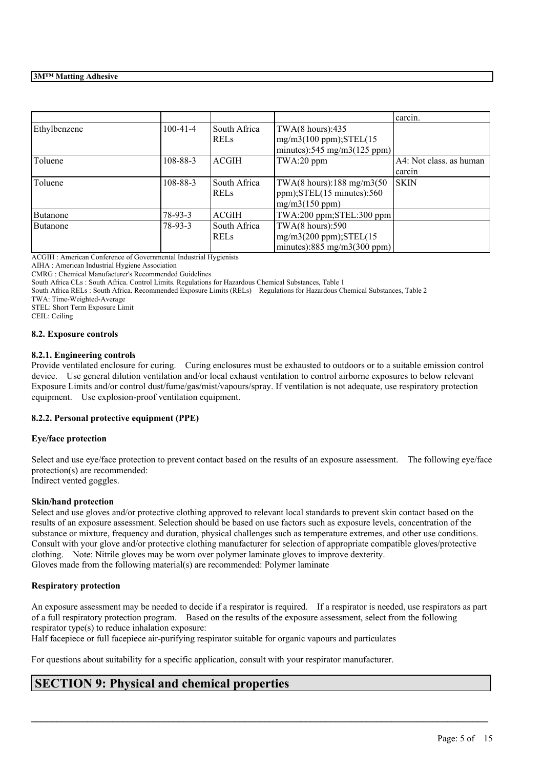|              |                |              |                                            | carcin.                 |
|--------------|----------------|--------------|--------------------------------------------|-------------------------|
| Ethylbenzene | $100-41-4$     | South Africa | TWA $(8 \text{ hours})$ :435               |                         |
|              |                | <b>RELS</b>  | $mg/m3(100 ppm);$ STEL $(15$               |                         |
|              |                |              | minutes):545 mg/m3(125 ppm)                |                         |
| Toluene      | $108 - 88 - 3$ | <b>ACGIH</b> | TWA:20 ppm                                 | A4: Not class. as human |
|              |                |              |                                            | carcin                  |
| Toluene      | 108-88-3       | South Africa | TWA(8 hours): $188 \text{ mg/m}$ 3(50      | SKIN                    |
|              |                | <b>RELS</b>  | $ppm$ ); STEL $(15 \text{ minutes})$ : 560 |                         |
|              |                |              | mg/m3(150 ppm)                             |                         |
| Butanone     | $78-93-3$      | <b>ACGIH</b> | TWA:200 ppm;STEL:300 ppm                   |                         |
| Butanone     | 78-93-3        | South Africa | TWA $(8 \text{ hours})$ :590               |                         |
|              |                | <b>RELS</b>  | $mg/m3(200 ppm);$ STEL $(15$               |                         |
|              |                |              | minutes):885 mg/m3(300 ppm)                |                         |

ACGIH : American Conference of Governmental Industrial Hygienists

AIHA : American Industrial Hygiene Association

CMRG : Chemical Manufacturer's Recommended Guidelines

South Africa CLs : South Africa. Control Limits. Regulations for Hazardous Chemical Substances, Table 1

South Africa RELs : South Africa. Recommended Exposure Limits (RELs) Regulations for Hazardous Chemical Substances, Table 2

TWA: Time-Weighted-Average

STEL: Short Term Exposure Limit

CEIL: Ceiling

## **8.2. Exposure controls**

## **8.2.1. Engineering controls**

Provide ventilated enclosure for curing. Curing enclosures must be exhausted to outdoors or to a suitable emission control device. Use general dilution ventilation and/or local exhaust ventilation to control airborne exposures to below relevant Exposure Limits and/or control dust/fume/gas/mist/vapours/spray. If ventilation is not adequate, use respiratory protection equipment. Use explosion-proof ventilation equipment.

## **8.2.2. Personal protective equipment (PPE)**

## **Eye/face protection**

Select and use eye/face protection to prevent contact based on the results of an exposure assessment. The following eye/face protection(s) are recommended: Indirect vented goggles.

## **Skin/hand protection**

Select and use gloves and/or protective clothing approved to relevant local standards to prevent skin contact based on the results of an exposure assessment. Selection should be based on use factors such as exposure levels, concentration of the substance or mixture, frequency and duration, physical challenges such as temperature extremes, and other use conditions. Consult with your glove and/or protective clothing manufacturer for selection of appropriate compatible gloves/protective clothing. Note: Nitrile gloves may be worn over polymer laminate gloves to improve dexterity. Gloves made from the following material(s) are recommended: Polymer laminate

## **Respiratory protection**

An exposure assessment may be needed to decide if a respirator is required. If a respirator is needed, use respirators as part of a full respiratory protection program. Based on the results of the exposure assessment, select from the following respirator type(s) to reduce inhalation exposure:

 $\mathcal{L}_\mathcal{L} = \mathcal{L}_\mathcal{L} = \mathcal{L}_\mathcal{L} = \mathcal{L}_\mathcal{L} = \mathcal{L}_\mathcal{L} = \mathcal{L}_\mathcal{L} = \mathcal{L}_\mathcal{L} = \mathcal{L}_\mathcal{L} = \mathcal{L}_\mathcal{L} = \mathcal{L}_\mathcal{L} = \mathcal{L}_\mathcal{L} = \mathcal{L}_\mathcal{L} = \mathcal{L}_\mathcal{L} = \mathcal{L}_\mathcal{L} = \mathcal{L}_\mathcal{L} = \mathcal{L}_\mathcal{L} = \mathcal{L}_\mathcal{L}$ 

Half facepiece or full facepiece air-purifying respirator suitable for organic vapours and particulates

For questions about suitability for a specific application, consult with your respirator manufacturer.

# **SECTION 9: Physical and chemical properties**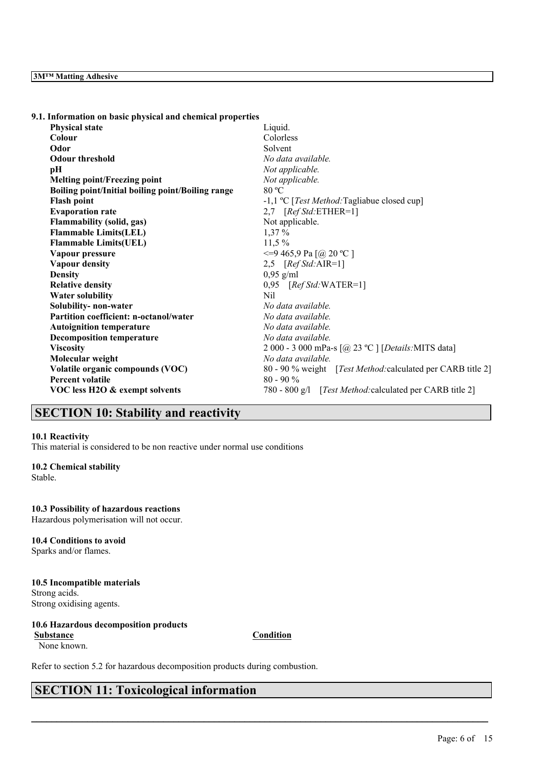| 9.1. Information on basic physical and chemical properties |                                                             |
|------------------------------------------------------------|-------------------------------------------------------------|
| <b>Physical state</b>                                      | Liquid.                                                     |
| Colour                                                     | Colorless                                                   |
| Odor                                                       | Solvent                                                     |
| <b>Odour threshold</b>                                     | No data available.                                          |
| pH                                                         | Not applicable.                                             |
| <b>Melting point/Freezing point</b>                        | Not applicable.                                             |
| Boiling point/Initial boiling point/Boiling range          | 80 °C                                                       |
| <b>Flash point</b>                                         | -1,1 °C [ <i>Test Method</i> :Tagliabue closed cup]         |
| <b>Evaporation rate</b>                                    | 2,7 $[RefStd:ETHER=1]$                                      |
| <b>Flammability (solid, gas)</b>                           | Not applicable.                                             |
| <b>Flammable Limits(LEL)</b>                               | $1,37\%$                                                    |
| <b>Flammable Limits(UEL)</b>                               | $11,5\%$                                                    |
| Vapour pressure                                            | <= 9 465, 9 Pa [@ 20 °C ]                                   |
| <b>Vapour density</b>                                      | 2,5 $[RefStd:AIR=1]$                                        |
| <b>Density</b>                                             | $0,95$ g/ml                                                 |
| <b>Relative density</b>                                    | $0,95$ [Ref Std:WATER=1]                                    |
| <b>Water solubility</b>                                    | <b>Nil</b>                                                  |
| Solubility- non-water                                      | No data available.                                          |
| Partition coefficient: n-octanol/water                     | No data available.                                          |
| <b>Autoignition temperature</b>                            | No data available.                                          |
| <b>Decomposition temperature</b>                           | No data available.                                          |
| <b>Viscosity</b>                                           | 2 000 - 3 000 mPa-s [@ 23 °C ] [Details: MITS data]         |
| Molecular weight                                           | No data available.                                          |
| Volatile organic compounds (VOC)                           | 80 - 90 % weight [Test Method: calculated per CARB title 2] |
| Percent volatile                                           | $80 - 90 %$                                                 |
| VOC less H2O & exempt solvents                             | 780 - 800 g/l [Test Method: calculated per CARB title 2]    |
|                                                            |                                                             |

# **SECTION 10: Stability and reactivity**

### **10.1 Reactivity**

This material is considered to be non reactive under normal use conditions

#### **10.2 Chemical stability**

Stable.

## **10.3 Possibility of hazardous reactions**

Hazardous polymerisation will not occur.

# **10.4 Conditions to avoid**

Sparks and/or flames.

# **10.5 Incompatible materials** Strong acids.

Strong oxidising agents.

# **10.6 Hazardous decomposition products**

None known.

# **Substance Condition**

 $\mathcal{L}_\mathcal{L} = \mathcal{L}_\mathcal{L} = \mathcal{L}_\mathcal{L} = \mathcal{L}_\mathcal{L} = \mathcal{L}_\mathcal{L} = \mathcal{L}_\mathcal{L} = \mathcal{L}_\mathcal{L} = \mathcal{L}_\mathcal{L} = \mathcal{L}_\mathcal{L} = \mathcal{L}_\mathcal{L} = \mathcal{L}_\mathcal{L} = \mathcal{L}_\mathcal{L} = \mathcal{L}_\mathcal{L} = \mathcal{L}_\mathcal{L} = \mathcal{L}_\mathcal{L} = \mathcal{L}_\mathcal{L} = \mathcal{L}_\mathcal{L}$ 

Refer to section 5.2 for hazardous decomposition products during combustion.

# **SECTION 11: Toxicological information**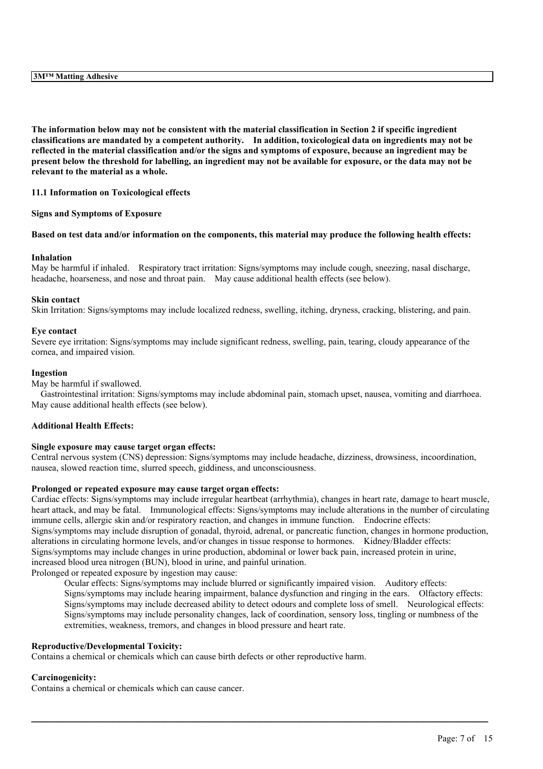The information below may not be consistent with the material classification in Section 2 if specific ingredient **classifications are mandated by a competent authority. In addition, toxicological data on ingredients may not be** reflected in the material classification and/or the signs and symptoms of exposure, because an ingredient may be present below the threshold for labelling, an ingredient may not be available for exposure, or the data may not be **relevant to the material as a whole.**

#### **11.1 Information on Toxicological effects**

#### **Signs and Symptoms of Exposure**

#### Based on test data and/or information on the components, this material may produce the following health effects:

#### **Inhalation**

May be harmful if inhaled. Respiratory tract irritation: Signs/symptoms may include cough, sneezing, nasal discharge, headache, hoarseness, and nose and throat pain. May cause additional health effects (see below).

#### **Skin contact**

Skin Irritation: Signs/symptoms may include localized redness, swelling, itching, dryness, cracking, blistering, and pain.

#### **Eye contact**

Severe eye irritation: Signs/symptoms may include significant redness, swelling, pain, tearing, cloudy appearance of the cornea, and impaired vision.

#### **Ingestion**

May be harmful if swallowed.

Gastrointestinal irritation: Signs/symptoms may include abdominal pain, stomach upset, nausea, vomiting and diarrhoea. May cause additional health effects (see below).

### **Additional Health Effects:**

#### **Single exposure may cause target organ effects:**

Central nervous system (CNS) depression: Signs/symptoms may include headache, dizziness, drowsiness, incoordination, nausea, slowed reaction time, slurred speech, giddiness, and unconsciousness.

#### **Prolonged or repeated exposure may cause target organ effects:**

Cardiac effects: Signs/symptoms may include irregular heartbeat (arrhythmia), changes in heart rate, damage to heart muscle, heart attack, and may be fatal. Immunological effects: Signs/symptoms may include alterations in the number of circulating immune cells, allergic skin and/or respiratory reaction, and changes in immune function. Endocrine effects: Signs/symptoms may include disruption of gonadal, thyroid, adrenal, or pancreatic function, changes in hormone production, alterations in circulating hormone levels, and/or changes in tissue response to hormones. Kidney/Bladder effects: Signs/symptoms may include changes in urine production, abdominal or lower back pain, increased protein in urine, increased blood urea nitrogen (BUN), blood in urine, and painful urination.

Prolonged or repeated exposure by ingestion may cause:

Ocular effects: Signs/symptoms may include blurred or significantly impaired vision. Auditory effects: Signs/symptoms may include hearing impairment, balance dysfunction and ringing in the ears. Olfactory effects: Signs/symptoms may include decreased ability to detect odours and complete loss of smell. Neurological effects: Signs/symptoms may include personality changes, lack of coordination, sensory loss, tingling or numbness of the extremities, weakness, tremors, and changes in blood pressure and heart rate.

 $\mathcal{L}_\mathcal{L} = \mathcal{L}_\mathcal{L} = \mathcal{L}_\mathcal{L} = \mathcal{L}_\mathcal{L} = \mathcal{L}_\mathcal{L} = \mathcal{L}_\mathcal{L} = \mathcal{L}_\mathcal{L} = \mathcal{L}_\mathcal{L} = \mathcal{L}_\mathcal{L} = \mathcal{L}_\mathcal{L} = \mathcal{L}_\mathcal{L} = \mathcal{L}_\mathcal{L} = \mathcal{L}_\mathcal{L} = \mathcal{L}_\mathcal{L} = \mathcal{L}_\mathcal{L} = \mathcal{L}_\mathcal{L} = \mathcal{L}_\mathcal{L}$ 

## **Reproductive/Developmental Toxicity:**

Contains a chemical or chemicals which can cause birth defects or other reproductive harm.

#### **Carcinogenicity:**

Contains a chemical or chemicals which can cause cancer.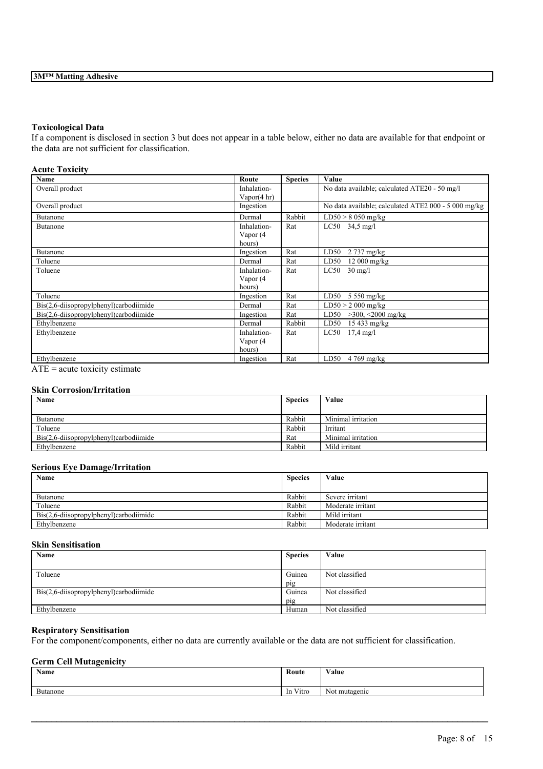### **Toxicological Data**

If a component is disclosed in section 3 but does not appear in a table below, either no data are available for that endpoint or the data are not sufficient for classification.

### **Acute Toxicity**

| Name                                      | Route                                 | <b>Species</b> | Value                                                |
|-------------------------------------------|---------------------------------------|----------------|------------------------------------------------------|
| Overall product                           | Inhalation-<br>Vapor $(4 \text{ hr})$ |                | No data available; calculated ATE20 - 50 mg/l        |
| Overall product                           | Ingestion                             |                | No data available; calculated ATE2 000 - 5 000 mg/kg |
| <b>Butanone</b>                           | Dermal                                | Rabbit         | $LD50 > 8050$ mg/kg                                  |
| Butanone                                  | Inhalation-                           | Rat            | $LC50$ 34,5 mg/l                                     |
|                                           | Vapor (4                              |                |                                                      |
|                                           | hours)                                |                |                                                      |
| Butanone                                  | Ingestion                             | Rat            | LD50<br>2 737 mg/kg                                  |
| Toluene                                   | Dermal                                | Rat            | LD50<br>$12000$ mg/kg                                |
| Toluene                                   | Inhalation-                           | Rat            | $30 \text{ mg/l}$<br>LC50                            |
|                                           | Vapor (4                              |                |                                                      |
|                                           | hours)                                |                |                                                      |
| Toluene                                   | Ingestion                             | Rat            | LD50<br>$5550$ mg/kg                                 |
| $Bis(2,6-diisopropylphenyl)$ carbodiimide | Dermal                                | Rat            | $LD50 > 2000$ mg/kg                                  |
| $Bis(2,6-diisopropylphenyl)$ carbodiimide | Ingestion                             | Rat            | LD50<br>$>300, \leq 2000$ mg/kg                      |
| Ethylbenzene                              | Dermal                                | Rabbit         | LD50<br>$15433$ mg/kg                                |
| Ethylbenzene                              | Inhalation-                           | Rat            | LC50<br>$17.4 \text{ mg}/1$                          |
|                                           | Vapor (4                              |                |                                                      |
|                                           | hours)                                |                |                                                      |
| Ethylbenzene                              | Ingestion                             | Rat            | LD50<br>$4769$ mg/kg                                 |

 $ATE = acute$  toxicity estimate

# **Skin Corrosion/Irritation**

| Name                                      | <b>Species</b> | Value              |
|-------------------------------------------|----------------|--------------------|
|                                           |                |                    |
| Butanone                                  | Rabbit         | Minimal irritation |
| Toluene                                   | Rabbit         | Irritant           |
| $Bis(2,6-diisopropylphenyl)$ carbodiimide | Rat            | Minimal irritation |
| Ethylbenzene                              | Rabbit         | Mild irritant      |

# **Serious Eye Damage/Irritation**

| Name                                      | <b>Species</b> | Value             |
|-------------------------------------------|----------------|-------------------|
| Butanone                                  | Rabbit         | Severe irritant   |
| Toluene                                   | Rabbit         | Moderate irritant |
| $Dis(2,6-diisopropylphenyl)$ carbodiimide | Rabbit         | Mild irritant     |
| Ethylbenzene                              | Rabbit         | Moderate irritant |

# **Skin Sensitisation**

| Name                                   | <b>Species</b> | Value          |
|----------------------------------------|----------------|----------------|
|                                        |                |                |
| Toluene                                | Guinea         | Not classified |
|                                        | pig            |                |
| Bis(2,6-diisopropylphenyl)carbodiimide | Guinea         | Not classified |
|                                        | pig            |                |
| Ethylbenzene                           | Human          | Not classified |

## **Respiratory Sensitisation**

For the component/components, either no data are currently available or the data are not sufficient for classification.

### **Germ Cell Mutagenicity**

| Name               | Route                         | <b>WY 3</b><br>Value |
|--------------------|-------------------------------|----------------------|
| $\sim$<br>Butanone | $\mathbf{v}$<br>V itro<br>-In | Not mutagenic        |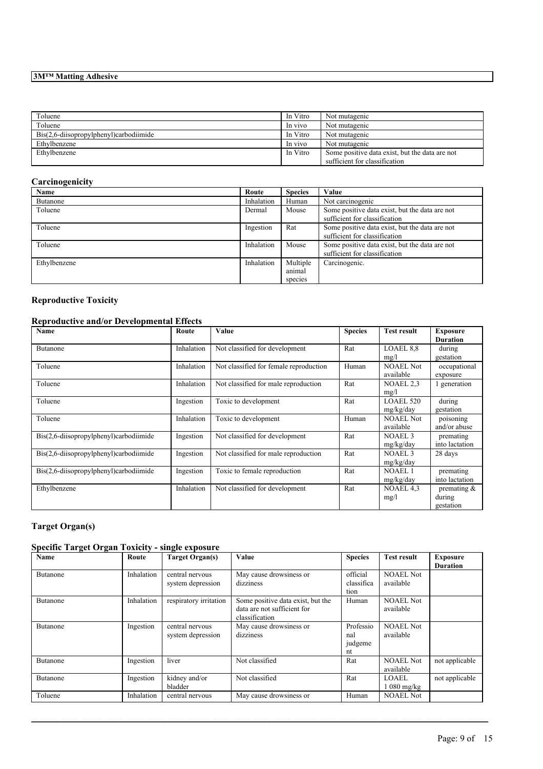| Toluene                                   | In Vitro | Not mutagenic                                  |
|-------------------------------------------|----------|------------------------------------------------|
| Toluene                                   | In vivo  | Not mutagenic                                  |
| $Dis(2,6$ -diisopropylphenyl)carbodiimide | In Vitro | Not mutagenic                                  |
| Ethylbenzene                              | In vivo  | Not mutagenic                                  |
| Ethylbenzene                              | In Vitro | Some positive data exist, but the data are not |
|                                           |          | sufficient for classification                  |

# **Carcinogenicity**

| <b>Name</b>  | Route      | <b>Species</b> | Value                                                                           |
|--------------|------------|----------------|---------------------------------------------------------------------------------|
| Butanone     | Inhalation | Human          | Not carcinogenic                                                                |
| Toluene      | Dermal     | Mouse          | Some positive data exist, but the data are not<br>sufficient for classification |
| Toluene      | Ingestion  | Rat            | Some positive data exist, but the data are not<br>sufficient for classification |
| Toluene      | Inhalation | Mouse          | Some positive data exist, but the data are not<br>sufficient for classification |
| Ethylbenzene | Inhalation | Multiple       | Carcinogenic.                                                                   |
|              |            | animal         |                                                                                 |
|              |            | species        |                                                                                 |

# **Reproductive Toxicity**

# **Reproductive and/or Developmental Effects**

| Name                                   | Route      | Value                                  | <b>Species</b> | <b>Test result</b>              | <b>Exposure</b><br><b>Duration</b>    |
|----------------------------------------|------------|----------------------------------------|----------------|---------------------------------|---------------------------------------|
| Butanone                               | Inhalation | Not classified for development         | Rat            | LOAEL 8.8<br>mg/l               | during<br>gestation                   |
| Toluene                                | Inhalation | Not classified for female reproduction | Human          | <b>NOAEL Not</b><br>available   | occupational<br>exposure              |
| Toluene                                | Inhalation | Not classified for male reproduction   | Rat            | NOAEL 2,3<br>mg/l               | 1 generation                          |
| Toluene                                | Ingestion  | Toxic to development                   | Rat            | <b>LOAEL 520</b><br>mg/kg/day   | during<br>gestation                   |
| Toluene                                | Inhalation | Toxic to development                   | Human          | <b>NOAEL Not</b><br>available   | poisoning<br>and/or abuse             |
| Bis(2,6-diisopropylphenyl)carbodiimide | Ingestion  | Not classified for development         | Rat            | <b>NOAEL 3</b><br>mg/kg/day     | premating<br>into lactation           |
| Bis(2,6-diisopropylphenyl)carbodiimide | Ingestion  | Not classified for male reproduction   | Rat            | NOAEL <sub>3</sub><br>mg/kg/day | 28 days                               |
| Bis(2,6-diisopropylphenyl)carbodiimide | Ingestion  | Toxic to female reproduction           | Rat            | <b>NOAEL1</b><br>mg/kg/day      | premating<br>into lactation           |
| Ethylbenzene                           | Inhalation | Not classified for development         | Rat            | NOAEL 4,3<br>mg/l               | premating $\&$<br>during<br>gestation |

# **Target Organ(s)**

# **Specific Target Organ Toxicity - single exposure**

| Name            | Route      | Target Organ(s)                      | Value                                                                              | <b>Species</b>                    | <b>Test result</b>            | <b>Exposure</b><br><b>Duration</b> |
|-----------------|------------|--------------------------------------|------------------------------------------------------------------------------------|-----------------------------------|-------------------------------|------------------------------------|
| Butanone        | Inhalation | central nervous<br>system depression | May cause drowsiness or<br>dizziness                                               | official<br>classifica<br>tion    | <b>NOAEL Not</b><br>available |                                    |
| <b>Butanone</b> | Inhalation | respiratory irritation               | Some positive data exist, but the<br>data are not sufficient for<br>classification | Human                             | <b>NOAEL Not</b><br>available |                                    |
| Butanone        | Ingestion  | central nervous<br>system depression | May cause drowsiness or<br>dizziness                                               | Professio<br>nal<br>judgeme<br>nt | <b>NOAEL Not</b><br>available |                                    |
| Butanone        | Ingestion  | liver                                | Not classified                                                                     | Rat                               | <b>NOAEL Not</b><br>available | not applicable                     |
| Butanone        | Ingestion  | kidney and/or<br>bladder             | Not classified                                                                     | Rat                               | LOAEL.<br>$1080$ mg/kg        | not applicable                     |
| Toluene         | Inhalation | central nervous                      | May cause drowsiness or                                                            | Human                             | <b>NOAEL Not</b>              |                                    |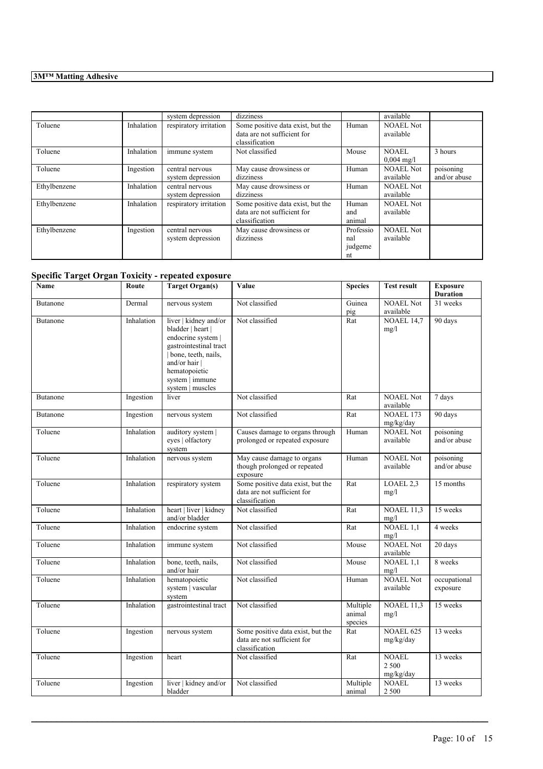|              |            | system depression                    | dizziness                                                                          |                                   | available                            |                           |
|--------------|------------|--------------------------------------|------------------------------------------------------------------------------------|-----------------------------------|--------------------------------------|---------------------------|
| Toluene      | Inhalation | respiratory irritation               | Some positive data exist, but the<br>data are not sufficient for<br>classification | Human                             | <b>NOAEL Not</b><br>available        |                           |
| Toluene      | Inhalation | immune system                        | Not classified                                                                     | Mouse                             | <b>NOAEL</b><br>$0.004 \text{ mg/l}$ | 3 hours                   |
| Toluene      | Ingestion  | central nervous<br>system depression | May cause drowsiness or<br>dizziness                                               | Human                             | <b>NOAEL Not</b><br>available        | poisoning<br>and/or abuse |
| Ethylbenzene | Inhalation | central nervous<br>system depression | May cause drowsiness or<br>dizziness                                               | Human                             | <b>NOAEL Not</b><br>available        |                           |
| Ethylbenzene | Inhalation | respiratory irritation               | Some positive data exist, but the<br>data are not sufficient for<br>classification | Human<br>and<br>animal            | <b>NOAEL Not</b><br>available        |                           |
| Ethylbenzene | Ingestion  | central nervous<br>system depression | May cause drowsiness or<br>dizziness                                               | Professio<br>nal<br>judgeme<br>nt | <b>NOAEL Not</b><br>available        |                           |

# **Specific Target Organ Toxicity - repeated exposure**

| Name            | Route      | <b>Target Organ(s)</b>                                                                                                                                                                   | Value                                                                              | <b>Species</b>                | <b>Test result</b>                 | <b>Exposure</b><br><b>Duration</b> |
|-----------------|------------|------------------------------------------------------------------------------------------------------------------------------------------------------------------------------------------|------------------------------------------------------------------------------------|-------------------------------|------------------------------------|------------------------------------|
| Butanone        | Dermal     | nervous system                                                                                                                                                                           | Not classified                                                                     | Guinea<br>pig                 | <b>NOAEL Not</b><br>available      | 31 weeks                           |
| <b>Butanone</b> | Inhalation | liver   kidney and/or<br>bladder   heart  <br>endocrine system  <br>gastrointestinal tract<br>bone, teeth, nails,<br>and/or hair<br>hematopoietic<br>system   immune<br>system   muscles | Not classified                                                                     | Rat                           | <b>NOAEL 14,7</b><br>mg/l          | 90 days                            |
| <b>Butanone</b> | Ingestion  | liver                                                                                                                                                                                    | Not classified                                                                     | Rat                           | <b>NOAEL Not</b><br>available      | 7 days                             |
| <b>Butanone</b> | Ingestion  | nervous system                                                                                                                                                                           | Not classified                                                                     | Rat                           | NOAEL 173<br>mg/kg/day             | 90 days                            |
| Toluene         | Inhalation | auditory system  <br>eyes   olfactory<br>system                                                                                                                                          | Causes damage to organs through<br>prolonged or repeated exposure                  | Human                         | <b>NOAEL Not</b><br>available      | poisoning<br>and/or abuse          |
| Toluene         | Inhalation | nervous system                                                                                                                                                                           | May cause damage to organs<br>though prolonged or repeated<br>exposure             | Human                         | <b>NOAEL Not</b><br>available      | poisoning<br>and/or abuse          |
| Toluene         | Inhalation | respiratory system                                                                                                                                                                       | Some positive data exist, but the<br>data are not sufficient for<br>classification | Rat                           | LOAEL 2,3<br>mg/l                  | 15 months                          |
| Toluene         | Inhalation | heart   liver   kidney<br>and/or bladder                                                                                                                                                 | Not classified                                                                     | Rat                           | <b>NOAEL 11,3</b><br>mg/l          | 15 weeks                           |
| Toluene         | Inhalation | endocrine system                                                                                                                                                                         | Not classified                                                                     | Rat                           | NOAEL $1,1$<br>mg/l                | 4 weeks                            |
| Toluene         | Inhalation | immune system                                                                                                                                                                            | Not classified                                                                     | Mouse                         | <b>NOAEL Not</b><br>available      | 20 days                            |
| Toluene         | Inhalation | bone, teeth, nails,<br>and/or hair                                                                                                                                                       | Not classified                                                                     | Mouse                         | NOAEL 1.1<br>mg/l                  | 8 weeks                            |
| Toluene         | Inhalation | hematopoietic<br>system   vascular<br>system                                                                                                                                             | Not classified                                                                     | Human                         | <b>NOAEL Not</b><br>available      | occupational<br>exposure           |
| Toluene         | Inhalation | gastrointestinal tract                                                                                                                                                                   | Not classified                                                                     | Multiple<br>animal<br>species | <b>NOAEL 11,3</b><br>mg/l          | 15 weeks                           |
| Toluene         | Ingestion  | nervous system                                                                                                                                                                           | Some positive data exist, but the<br>data are not sufficient for<br>classification | Rat                           | <b>NOAEL 625</b><br>mg/kg/day      | 13 weeks                           |
| Toluene         | Ingestion  | heart                                                                                                                                                                                    | Not classified                                                                     | Rat                           | <b>NOAEL</b><br>2 500<br>mg/kg/day | 13 weeks                           |
| Toluene         | Ingestion  | liver   kidney and/or<br>bladder                                                                                                                                                         | Not classified                                                                     | Multiple<br>animal            | <b>NOAEL</b><br>2 500              | 13 weeks                           |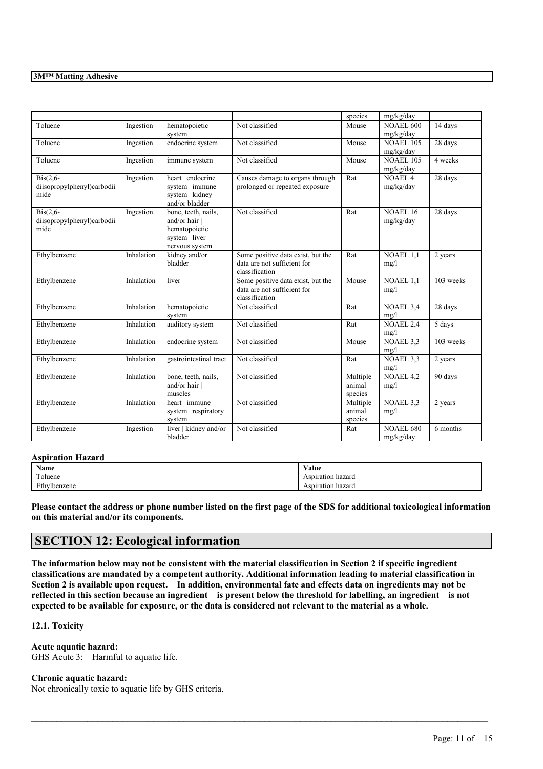|                                                               |            |                                                                                           |                                                                                    | species                       | mg/kg/day                     |                   |
|---------------------------------------------------------------|------------|-------------------------------------------------------------------------------------------|------------------------------------------------------------------------------------|-------------------------------|-------------------------------|-------------------|
| Toluene                                                       | Ingestion  | hematopoietic<br>system                                                                   | Not classified                                                                     | Mouse                         | <b>NOAEL 600</b><br>mg/kg/day | 14 days           |
| Toluene                                                       | Ingestion  | endocrine system                                                                          | Not classified                                                                     | Mouse                         | <b>NOAEL 105</b><br>mg/kg/day | 28 days           |
| Toluene                                                       | Ingestion  | immune system                                                                             | Not classified                                                                     | Mouse                         | <b>NOAEL 105</b><br>mg/kg/day | 4 weeks           |
| $\text{Bis}(2,6-$<br>diisopropylphenyl)carbodii<br>mide       | Ingestion  | heart   endocrine<br>system   immune<br>system   kidney<br>and/or bladder                 | Causes damage to organs through<br>prolonged or repeated exposure                  | Rat                           | <b>NOAEL4</b><br>mg/kg/day    | $28 \text{ days}$ |
| $\overline{ Bis(2,6-)}$<br>diisopropylphenyl)carbodii<br>mide | Ingestion  | bone, teeth, nails,<br>and/or hair<br>hematopoietic<br>system   liver  <br>nervous system | Not classified                                                                     | Rat                           | <b>NOAEL 16</b><br>mg/kg/day  | 28 days           |
| Ethylbenzene                                                  | Inhalation | kidney and/or<br>bladder                                                                  | Some positive data exist, but the<br>data are not sufficient for<br>classification | Rat                           | <b>NOAEL 1.1</b><br>mg/l      | 2 years           |
| Ethylbenzene                                                  | Inhalation | liver                                                                                     | Some positive data exist, but the<br>data are not sufficient for<br>classification | Mouse                         | <b>NOAEL 1.1</b><br>mg/l      | 103 weeks         |
| Ethylbenzene                                                  | Inhalation | hematopoietic<br>system                                                                   | Not classified                                                                     | Rat                           | NOAEL 3,4<br>mg/l             | 28 days           |
| Ethylbenzene                                                  | Inhalation | auditory system                                                                           | Not classified                                                                     | Rat                           | <b>NOAEL 2,4</b><br>mg/l      | 5 days            |
| Ethylbenzene                                                  | Inhalation | endocrine system                                                                          | Not classified                                                                     | Mouse                         | NOAEL 3.3<br>mg/l             | 103 weeks         |
| Ethylbenzene                                                  | Inhalation | gastrointestinal tract                                                                    | Not classified                                                                     | Rat                           | NOAEL 3.3<br>mg/l             | 2 years           |
| Ethylbenzene                                                  | Inhalation | bone, teeth, nails,<br>and/or hair<br>muscles                                             | Not classified                                                                     | Multiple<br>animal<br>species | NOAEL 4,2<br>mg/l             | 90 days           |
| Ethylbenzene                                                  | Inhalation | heart   immune<br>system   respiratory<br>system                                          | Not classified                                                                     | Multiple<br>animal<br>species | NOAEL 3,3<br>mg/l             | 2 years           |
| Ethylbenzene                                                  | Ingestion  | liver   kidney and/or<br>bladder                                                          | Not classified                                                                     | Rat                           | <b>NOAEL 680</b><br>mg/kg/day | 6 months          |

#### **Aspiration Hazard**

| <b>Name</b>      | $\mathbf{v}$ $\mathbf{v}$<br>⁄ alue |
|------------------|-------------------------------------|
| <b>CONTINUES</b> | hazard ا                            |
| oluene           | Aspiration                          |
| $T+1$            | hazard                              |
| /Ibenzene        | 'otion                              |
| LU.              | мнаног                              |

Please contact the address or phone number listed on the first page of the SDS for additional toxicological information **on this material and/or its components.**

# **SECTION 12: Ecological information**

The information below may not be consistent with the material classification in Section 2 if specific ingredient **classifications are mandated by a competent authority. Additional information leading to material classification in** Section 2 is available upon request. In addition, environmental fate and effects data on ingredients may not be reflected in this section because an ingredient is present below the threshold for labelling, an ingredient is not expected to be available for exposure, or the data is considered not relevant to the material as a whole.

 $\mathcal{L}_\mathcal{L} = \mathcal{L}_\mathcal{L} = \mathcal{L}_\mathcal{L} = \mathcal{L}_\mathcal{L} = \mathcal{L}_\mathcal{L} = \mathcal{L}_\mathcal{L} = \mathcal{L}_\mathcal{L} = \mathcal{L}_\mathcal{L} = \mathcal{L}_\mathcal{L} = \mathcal{L}_\mathcal{L} = \mathcal{L}_\mathcal{L} = \mathcal{L}_\mathcal{L} = \mathcal{L}_\mathcal{L} = \mathcal{L}_\mathcal{L} = \mathcal{L}_\mathcal{L} = \mathcal{L}_\mathcal{L} = \mathcal{L}_\mathcal{L}$ 

## **12.1. Toxicity**

### **Acute aquatic hazard:**

GHS Acute 3: Harmful to aquatic life.

#### **Chronic aquatic hazard:**

Not chronically toxic to aquatic life by GHS criteria.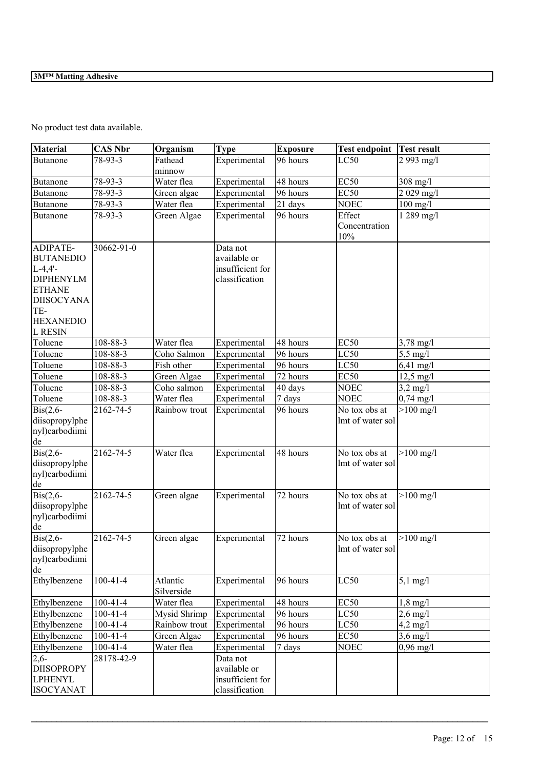No product test data available.

| <b>Material</b>    | <b>CAS Nbr</b>   | Organism      | <b>Type</b>      | <b>Exposure</b> | <b>Test endpoint</b> | Test result         |
|--------------------|------------------|---------------|------------------|-----------------|----------------------|---------------------|
| Butanone           | 78-93-3          | Fathead       | Experimental     | 96 hours        | LC50                 | 2 993 mg/l          |
|                    |                  | minnow        |                  |                 |                      |                     |
| <b>Butanone</b>    | 78-93-3          | Water flea    | Experimental     | 48 hours        | EC50                 | 308 mg/l            |
| <b>Butanone</b>    | 78-93-3          | Green algae   | Experimental     | 96 hours        | EC <sub>50</sub>     | 2 029 mg/l          |
| <b>Butanone</b>    | 78-93-3          | Water flea    | Experimental     | 21 days         | <b>NOEC</b>          | $100$ mg/l          |
| <b>Butanone</b>    | 78-93-3          | Green Algae   | Experimental     | 96 hours        | Effect               | 1 289 mg/l          |
|                    |                  |               |                  |                 | Concentration        |                     |
|                    |                  |               |                  |                 | $10\%$               |                     |
| ADIPATE-           | $30662 - 91 - 0$ |               | Data not         |                 |                      |                     |
| <b>BUTANEDIO</b>   |                  |               | available or     |                 |                      |                     |
| $L-4,4'-$          |                  |               | insufficient for |                 |                      |                     |
| <b>DIPHENYLM</b>   |                  |               | classification   |                 |                      |                     |
| <b>ETHANE</b>      |                  |               |                  |                 |                      |                     |
| <b>DIISOCYANA</b>  |                  |               |                  |                 |                      |                     |
| TE-                |                  |               |                  |                 |                      |                     |
| <b>HEXANEDIO</b>   |                  |               |                  |                 |                      |                     |
| L RESIN            |                  |               |                  |                 |                      |                     |
| Toluene            | 108-88-3         | Water flea    | Experimental     | 48 hours        | EC <sub>50</sub>     | $3,78 \text{ mg}/1$ |
| Toluene            | 108-88-3         | Coho Salmon   | Experimental     | 96 hours        | LC50                 | $5,5 \text{ mg}/l$  |
| Toluene            | 108-88-3         | Fish other    | Experimental     | 96 hours        | LC50                 | $6,41$ mg/l         |
| Toluene            | 108-88-3         | Green Algae   | Experimental     | 72 hours        | EC50                 | $12,5 \text{ mg}/1$ |
| Toluene            | 108-88-3         | Coho salmon   | Experimental     | 40 days         | <b>NOEC</b>          | $3,2$ mg/l          |
| Toluene            | 108-88-3         | Water flea    | Experimental     | 7 days          | <b>NOEC</b>          | $0,74 \text{ mg}/1$ |
| $\text{Bis}(2,6-$  | 2162-74-5        | Rainbow trout | Experimental     | 96 hours        | No tox obs at        | $>100$ mg/l         |
| diisopropylphe     |                  |               |                  |                 | lmt of water sol     |                     |
| nyl)carbodiimi     |                  |               |                  |                 |                      |                     |
| de                 |                  |               |                  |                 |                      |                     |
| $\text{Bis}(2,6-$  | 2162-74-5        | Water flea    | Experimental     | 48 hours        | No tox obs at        | $>100$ mg/l         |
| diisopropylphe     |                  |               |                  |                 | lmt of water sol     |                     |
| nyl)carbodiimi     |                  |               |                  |                 |                      |                     |
| de                 |                  |               |                  |                 |                      |                     |
| $\text{Bis}(2,6$ - | 2162-74-5        | Green algae   | Experimental     | 72 hours        | No tox obs at        | $>100 \text{ mg/l}$ |
| diisopropylphe     |                  |               |                  |                 | lmt of water sol     |                     |
| nyl)carbodiimi     |                  |               |                  |                 |                      |                     |
| de                 |                  |               |                  |                 |                      |                     |
| $\text{Bis}(2,6-$  | 2162-74-5        | Green algae   | Experimental     | 72 hours        | No tox obs at        | $>100$ mg/l         |
| diisopropylphe     |                  |               |                  |                 | lmt of water sol     |                     |
| nyl)carbodiimi     |                  |               |                  |                 |                      |                     |
| de                 |                  |               |                  |                 |                      |                     |
| Ethylbenzene       | $100 - 41 - 4$   | Atlantic      | Experimental     | 96 hours        | LC50                 | $5,1$ mg/l          |
|                    |                  | Silverside    |                  |                 |                      |                     |
| Ethylbenzene       | $100-41-4$       | Water flea    | Experimental     | 48 hours        | EC <sub>50</sub>     | $1,8$ mg/l          |
| Ethylbenzene       | $100-41-4$       | Mysid Shrimp  | Experimental     | 96 hours        | LC50                 | $2,6 \text{ mg}/1$  |
| Ethylbenzene       | $100-41-4$       | Rainbow trout | Experimental     | 96 hours        | LC50                 | $4,2$ mg/l          |
| Ethylbenzene       | $100 - 41 - 4$   | Green Algae   | Experimental     | 96 hours        | EC50                 | $3,6$ mg/l          |
| Ethylbenzene       | $100 - 41 - 4$   | Water flea    | Experimental     | 7 days          | <b>NOEC</b>          | $0,96$ mg/l         |
| $2,6-$             | 28178-42-9       |               | Data not         |                 |                      |                     |
| <b>DIISOPROPY</b>  |                  |               | available or     |                 |                      |                     |
| <b>LPHENYL</b>     |                  |               | insufficient for |                 |                      |                     |
| <b>ISOCYANAT</b>   |                  |               | classification   |                 |                      |                     |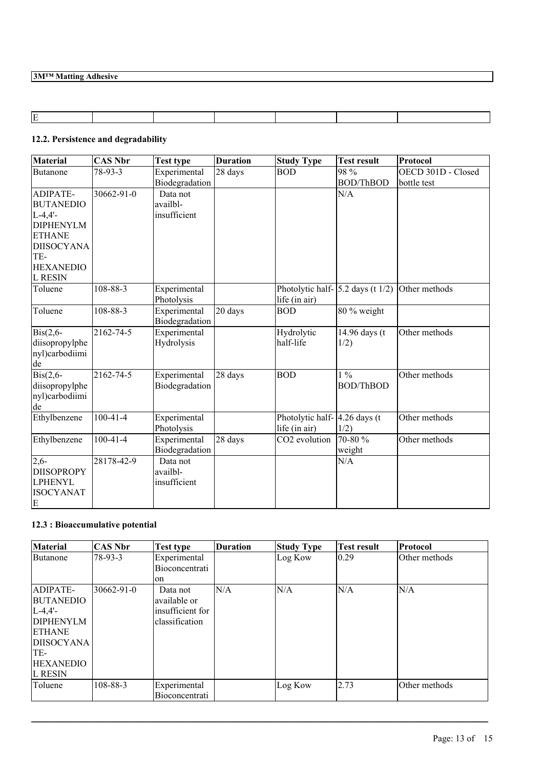# **12.2. Persistence and degradability**

| Material          | <b>CAS Nbr</b> | <b>Test type</b> | <b>Duration</b> | <b>Study Type</b>                                   | <b>Test result</b>           | Protocol           |
|-------------------|----------------|------------------|-----------------|-----------------------------------------------------|------------------------------|--------------------|
| <b>Butanone</b>   | 78-93-3        | Experimental     | 28 days         | <b>BOD</b>                                          | 98 %                         | OECD 301D - Closed |
|                   |                | Biodegradation   |                 |                                                     | <b>BOD/ThBOD</b>             | bottle test        |
| ADIPATE-          | 30662-91-0     | Data not         |                 |                                                     | N/A                          |                    |
| <b>BUTANEDIO</b>  |                | availbl-         |                 |                                                     |                              |                    |
| $L-4,4'-$         |                | insufficient     |                 |                                                     |                              |                    |
| <b>DIPHENYLM</b>  |                |                  |                 |                                                     |                              |                    |
| <b>ETHANE</b>     |                |                  |                 |                                                     |                              |                    |
| <b>DIISOCYANA</b> |                |                  |                 |                                                     |                              |                    |
| TE-               |                |                  |                 |                                                     |                              |                    |
| <b>HEXANEDIO</b>  |                |                  |                 |                                                     |                              |                    |
| <b>L RESIN</b>    |                |                  |                 |                                                     |                              |                    |
| Toluene           | 108-88-3       | Experimental     |                 | Photolytic half-                                    | $ 5.2 \text{ days (t} 1/2) $ | Other methods      |
|                   |                | Photolysis       |                 | life (in air)                                       |                              |                    |
| Toluene           | $108 - 88 - 3$ | Experimental     | 20 days         | <b>BOD</b>                                          | 80 % weight                  |                    |
|                   |                | Biodegradation   |                 |                                                     |                              |                    |
| $\text{Bis}(2,6-$ | 2162-74-5      | Experimental     |                 | Hydrolytic                                          | 14.96 days (t                | Other methods      |
| diisopropylphe    |                | Hydrolysis       |                 | half-life                                           | 1/2)                         |                    |
| nyl)carbodiimi    |                |                  |                 |                                                     |                              |                    |
| de                |                |                  |                 |                                                     |                              |                    |
| $\text{Bis}(2,6-$ | 2162-74-5      | Experimental     | 28 days         | <b>BOD</b>                                          | $1\%$                        | Other methods      |
| diisopropylphe    |                | Biodegradation   |                 |                                                     | <b>BOD/ThBOD</b>             |                    |
| nyl)carbodiimi    |                |                  |                 |                                                     |                              |                    |
| de                |                |                  |                 |                                                     |                              |                    |
| Ethylbenzene      | $100 - 41 - 4$ | Experimental     |                 | Photolytic half- $\vert 4.26 \text{ days (t} \vert$ |                              | Other methods      |
|                   |                | Photolysis       |                 | life (in air)                                       | 1/2)                         |                    |
| Ethylbenzene      | $100-41-4$     | Experimental     | 28 days         | CO <sub>2</sub> evolution                           | 70-80 %                      | Other methods      |
|                   |                | Biodegradation   |                 |                                                     | weight                       |                    |
| $2,6-$            | 28178-42-9     | Data not         |                 |                                                     | N/A                          |                    |
| <b>DIISOPROPY</b> |                | availbl-         |                 |                                                     |                              |                    |
| <b>LPHENYL</b>    |                | insufficient     |                 |                                                     |                              |                    |
| <b>ISOCYANAT</b>  |                |                  |                 |                                                     |                              |                    |
| E                 |                |                  |                 |                                                     |                              |                    |

# **12.3 : Bioaccumulative potential**

| <b>Material</b>   | CAS Nbr    | <b>Test type</b>               | <b>Duration</b> | <b>Study Type</b> | <b>Test result</b> | Protocol      |
|-------------------|------------|--------------------------------|-----------------|-------------------|--------------------|---------------|
| <b>Butanone</b>   | 78-93-3    | Experimental<br>Bioconcentrati |                 | Log Kow           | 0.29               | Other methods |
|                   |            | on                             |                 |                   |                    |               |
| ADIPATE-          | 30662-91-0 | Data not                       | N/A             | N/A               | N/A                | N/A           |
| BUTANEDIO         |            | available or                   |                 |                   |                    |               |
| $L - 4.4' -$      |            | insufficient for               |                 |                   |                    |               |
| <b>DIPHENYLM</b>  |            | classification                 |                 |                   |                    |               |
| <b>ETHANE</b>     |            |                                |                 |                   |                    |               |
| <b>DIISOCYANA</b> |            |                                |                 |                   |                    |               |
| TE-               |            |                                |                 |                   |                    |               |
| <b>HEXANEDIO</b>  |            |                                |                 |                   |                    |               |
| IL RESIN          |            |                                |                 |                   |                    |               |
| Toluene           | 108-88-3   | Experimental                   |                 | Log Kow           | 2.73               | Other methods |
|                   |            | Bioconcentrati                 |                 |                   |                    |               |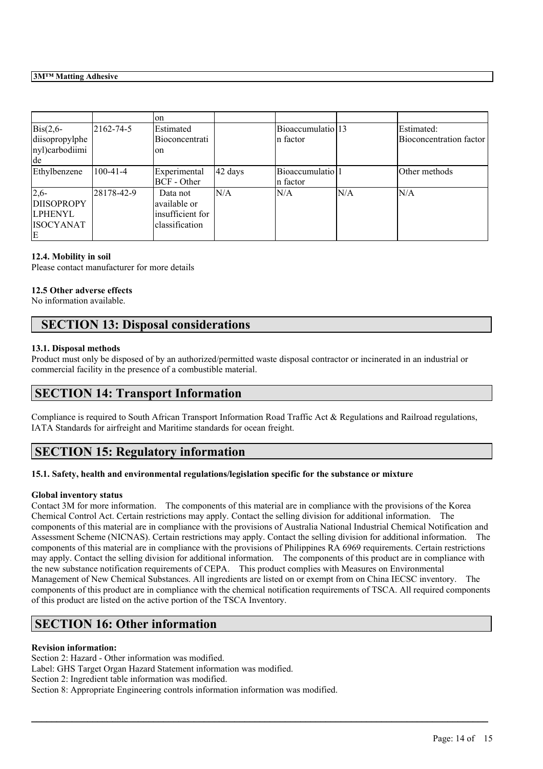|                    |                | lon              |         |                               |      |                         |
|--------------------|----------------|------------------|---------|-------------------------------|------|-------------------------|
| $\text{Bis}(2,6$ - | 2162-74-5      | Estimated        |         | Bioaccumulatio 13             |      | Estimated:              |
| diisopropylphe     |                | Bioconcentrati   |         | n factor                      |      | Bioconcentration factor |
| nyl)carbodiimi     |                | lon              |         |                               |      |                         |
| de                 |                |                  |         |                               |      |                         |
| Ethylbenzene       | $100 - 41 - 4$ | Experimental     | 42 days | Bioaccumulatio <sup>[1]</sup> |      | Other methods           |
|                    |                | BCF - Other      |         | n factor                      |      |                         |
| $2,6-$             | 28178-42-9     | Data not         | N/A     | ln/a                          | IN/A | N/A                     |
| <b>DIISOPROPY</b>  |                | lavailable or    |         |                               |      |                         |
| <b>LPHENYL</b>     |                | insufficient for |         |                               |      |                         |
| <b>ISOCYANAT</b>   |                | lclassification  |         |                               |      |                         |
| E                  |                |                  |         |                               |      |                         |

## **12.4. Mobility in soil**

Please contact manufacturer for more details

## **12.5 Other adverse effects**

No information available.

# **SECTION 13: Disposal considerations**

### **13.1. Disposal methods**

Product must only be disposed of by an authorized/permitted waste disposal contractor or incinerated in an industrial or commercial facility in the presence of a combustible material.

# **SECTION 14: Transport Information**

Compliance is required to South African Transport Information Road Traffic Act & Regulations and Railroad regulations, IATA Standards for airfreight and Maritime standards for ocean freight.

# **SECTION 15: Regulatory information**

## **15.1. Safety, health and environmental regulations/legislation specific for the substance or mixture**

## **Global inventory status**

Contact 3M for more information. The components of this material are in compliance with the provisions of the Korea Chemical Control Act. Certain restrictions may apply. Contact the selling division for additional information. The components of this material are in compliance with the provisions of Australia National Industrial Chemical Notification and Assessment Scheme (NICNAS). Certain restrictions may apply. Contact the selling division for additional information. The components of this material are in compliance with the provisions of Philippines RA 6969 requirements. Certain restrictions may apply. Contact the selling division for additional information. The components of this product are in compliance with the new substance notification requirements of CEPA. This product complies with Measures on Environmental Management of New Chemical Substances. All ingredients are listed on or exempt from on China IECSC inventory. The components of this product are in compliance with the chemical notification requirements of TSCA. All required components of this product are listed on the active portion of the TSCA Inventory.

 $\mathcal{L}_\mathcal{L} = \mathcal{L}_\mathcal{L} = \mathcal{L}_\mathcal{L} = \mathcal{L}_\mathcal{L} = \mathcal{L}_\mathcal{L} = \mathcal{L}_\mathcal{L} = \mathcal{L}_\mathcal{L} = \mathcal{L}_\mathcal{L} = \mathcal{L}_\mathcal{L} = \mathcal{L}_\mathcal{L} = \mathcal{L}_\mathcal{L} = \mathcal{L}_\mathcal{L} = \mathcal{L}_\mathcal{L} = \mathcal{L}_\mathcal{L} = \mathcal{L}_\mathcal{L} = \mathcal{L}_\mathcal{L} = \mathcal{L}_\mathcal{L}$ 

# **SECTION 16: Other information**

## **Revision information:**

Section 2: Hazard - Other information was modified. Label: GHS Target Organ Hazard Statement information was modified. Section 2: Ingredient table information was modified. Section 8: Appropriate Engineering controls information information was modified.